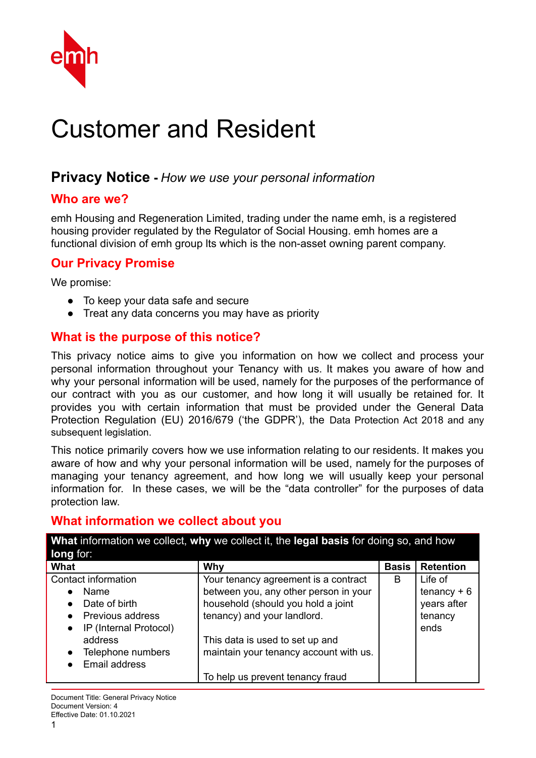

# Customer and Resident

# **Privacy Notice -** *How we use your personal information*

#### **Who are we?**

emh Housing and Regeneration Limited, trading under the name emh, is a registered housing provider regulated by the Regulator of Social Housing. emh homes are a functional division of emh group lts which is the non-asset owning parent company.

#### **Our Privacy Promise**

We promise:

- To keep your data safe and secure
- Treat any data concerns you may have as priority

#### **What is the purpose of this notice?**

This privacy notice aims to give you information on how we collect and process your personal information throughout your Tenancy with us. It makes you aware of how and why your personal information will be used, namely for the purposes of the performance of our contract with you as our customer, and how long it will usually be retained for. It provides you with certain information that must be provided under the General Data Protection Regulation (EU) 2016/679 ('the GDPR'), the Data Protection Act 2018 and any subsequent legislation.

This notice primarily covers how we use information relating to our residents. It makes you aware of how and why your personal information will be used, namely for the purposes of managing your tenancy agreement, and how long we will usually keep your personal information for. In these cases, we will be the "data controller" for the purposes of data protection law.

### **What information we collect about you**

| What information we collect, why we collect it, the legal basis for doing so, and how<br>long for: |                                        |              |                  |  |
|----------------------------------------------------------------------------------------------------|----------------------------------------|--------------|------------------|--|
| What                                                                                               | Why                                    | <b>Basis</b> | <b>Retention</b> |  |
| Contact information                                                                                | Your tenancy agreement is a contract   | B            | Life of          |  |
| <b>Name</b><br>$\bullet$                                                                           | between you, any other person in your  |              | $t$ enancy + 6   |  |
| Date of birth<br>$\bullet$                                                                         | household (should you hold a joint     |              | years after      |  |
| Previous address                                                                                   | tenancy) and your landlord.            |              | tenancy          |  |
| IP (Internal Protocol)<br>$\bullet$                                                                |                                        |              | ends             |  |
| address                                                                                            | This data is used to set up and        |              |                  |  |
| Telephone numbers<br>$\bullet$                                                                     | maintain your tenancy account with us. |              |                  |  |
| Email address                                                                                      |                                        |              |                  |  |
|                                                                                                    | To help us prevent tenancy fraud       |              |                  |  |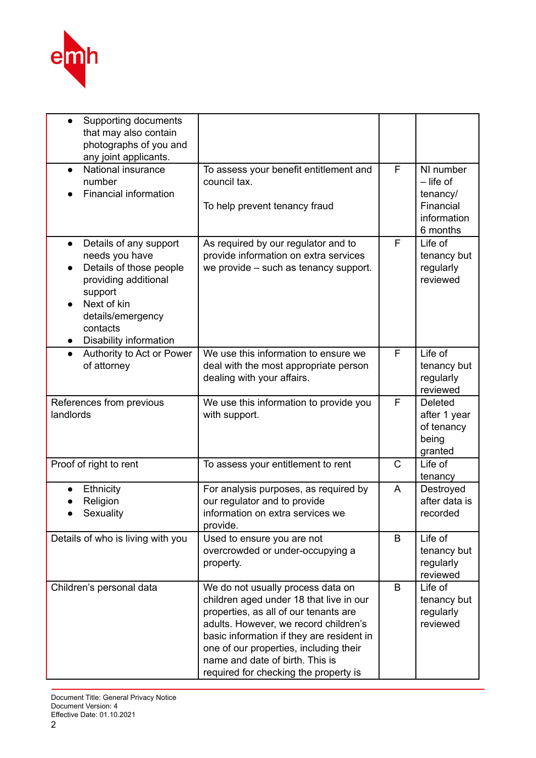

| Supporting documents<br>that may also contain<br>photographs of you and<br>any joint applicants.                                                                                                           |                                                                                                                                                                                                                                                                                                                                   |   |                                                                              |
|------------------------------------------------------------------------------------------------------------------------------------------------------------------------------------------------------------|-----------------------------------------------------------------------------------------------------------------------------------------------------------------------------------------------------------------------------------------------------------------------------------------------------------------------------------|---|------------------------------------------------------------------------------|
| National insurance<br>$\bullet$<br>number<br>Financial information                                                                                                                                         | To assess your benefit entitlement and<br>council tax.<br>To help prevent tenancy fraud                                                                                                                                                                                                                                           | F | NI number<br>$-$ life of<br>tenancy/<br>Financial<br>information<br>6 months |
| Details of any support<br>$\bullet$<br>needs you have<br>Details of those people<br>providing additional<br>support<br>Next of kin<br>details/emergency<br>contacts<br>Disability information<br>$\bullet$ | As required by our regulator and to<br>provide information on extra services<br>we provide – such as tenancy support.                                                                                                                                                                                                             | F | Life of<br>tenancy but<br>regularly<br>reviewed                              |
| Authority to Act or Power<br>$\bullet$<br>of attorney                                                                                                                                                      | We use this information to ensure we<br>deal with the most appropriate person<br>dealing with your affairs.                                                                                                                                                                                                                       | F | Life of<br>tenancy but<br>regularly<br>reviewed                              |
| References from previous<br>landlords                                                                                                                                                                      | We use this information to provide you<br>with support.                                                                                                                                                                                                                                                                           | F | <b>Deleted</b><br>after 1 year<br>of tenancy<br>being<br>granted             |
| Proof of right to rent                                                                                                                                                                                     | To assess your entitlement to rent                                                                                                                                                                                                                                                                                                | C | Life of<br>tenancy                                                           |
| Ethnicity<br>Religion<br>Sexuality                                                                                                                                                                         | For analysis purposes, as required by<br>our regulator and to provide<br>information on extra services we<br>provide.                                                                                                                                                                                                             | A | Destroyed<br>after data is<br>recorded                                       |
| Details of who is living with you                                                                                                                                                                          | Used to ensure you are not<br>overcrowded or under-occupying a<br>property.                                                                                                                                                                                                                                                       | B | Life of<br>tenancy but<br>regularly<br>reviewed                              |
| Children's personal data                                                                                                                                                                                   | We do not usually process data on<br>children aged under 18 that live in our<br>properties, as all of our tenants are<br>adults. However, we record children's<br>basic information if they are resident in<br>one of our properties, including their<br>name and date of birth. This is<br>required for checking the property is | B | Life of<br>tenancy but<br>regularly<br>reviewed                              |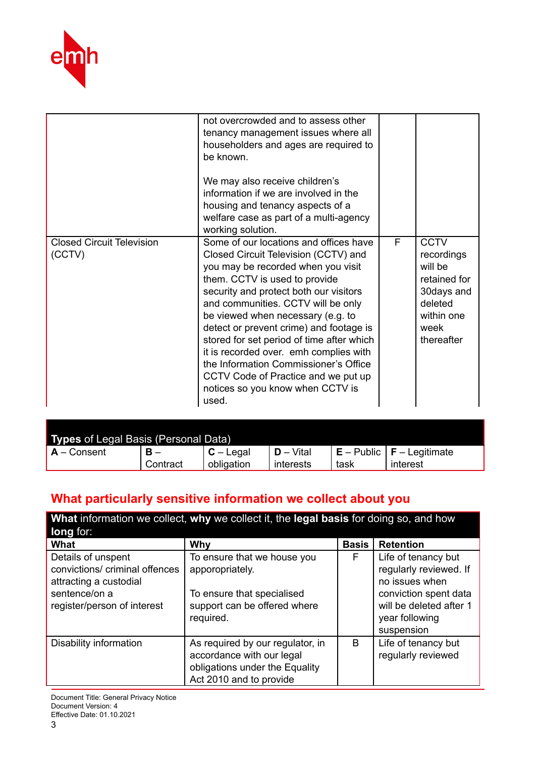

|                                            | not overcrowded and to assess other<br>tenancy management issues where all<br>householders and ages are required to<br>be known.<br>We may also receive children's<br>information if we are involved in the<br>housing and tenancy aspects of a<br>welfare case as part of a multi-agency<br>working solution.                                                                                                                                                                                                                            |   |                                                                                                                   |
|--------------------------------------------|-------------------------------------------------------------------------------------------------------------------------------------------------------------------------------------------------------------------------------------------------------------------------------------------------------------------------------------------------------------------------------------------------------------------------------------------------------------------------------------------------------------------------------------------|---|-------------------------------------------------------------------------------------------------------------------|
| <b>Closed Circuit Television</b><br>(CCTV) | Some of our locations and offices have<br>Closed Circuit Television (CCTV) and<br>you may be recorded when you visit<br>them. CCTV is used to provide<br>security and protect both our visitors<br>and communities. CCTV will be only<br>be viewed when necessary (e.g. to<br>detect or prevent crime) and footage is<br>stored for set period of time after which<br>it is recorded over. emh complies with<br>the Information Commissioner's Office<br>CCTV Code of Practice and we put up<br>notices so you know when CCTV is<br>used. | F | <b>CCTV</b><br>recordings<br>will be<br>retained for<br>30days and<br>deleted<br>within one<br>week<br>thereafter |

| Types of Legal Basis (Personal Data) |          |             |              |      |                               |  |  |
|--------------------------------------|----------|-------------|--------------|------|-------------------------------|--|--|
| $A -$ Consent                        | в.       | $C -$ Legal | $D - V$ ital |      | $E -$ Public $E -$ Legitimate |  |  |
|                                      | Contract | obligation  | interests    | task | interest                      |  |  |

# **What particularly sensitive information we collect about you**

| What information we collect, why we collect it, the legal basis for doing so, and how<br>long for:                             |                                                                                                                            |              |                                                                                                                                                     |  |
|--------------------------------------------------------------------------------------------------------------------------------|----------------------------------------------------------------------------------------------------------------------------|--------------|-----------------------------------------------------------------------------------------------------------------------------------------------------|--|
| What                                                                                                                           | Why                                                                                                                        | <b>Basis</b> | <b>Retention</b>                                                                                                                                    |  |
| Details of unspent<br>convictions/ criminal offences<br>attracting a custodial<br>sentence/on a<br>register/person of interest | To ensure that we house you<br>apporopriately.<br>To ensure that specialised<br>support can be offered where<br>required.  | F            | Life of tenancy but<br>regularly reviewed. If<br>no issues when<br>conviction spent data<br>will be deleted after 1<br>year following<br>suspension |  |
| Disability information                                                                                                         | As required by our regulator, in<br>accordance with our legal<br>obligations under the Equality<br>Act 2010 and to provide | B            | Life of tenancy but<br>regularly reviewed                                                                                                           |  |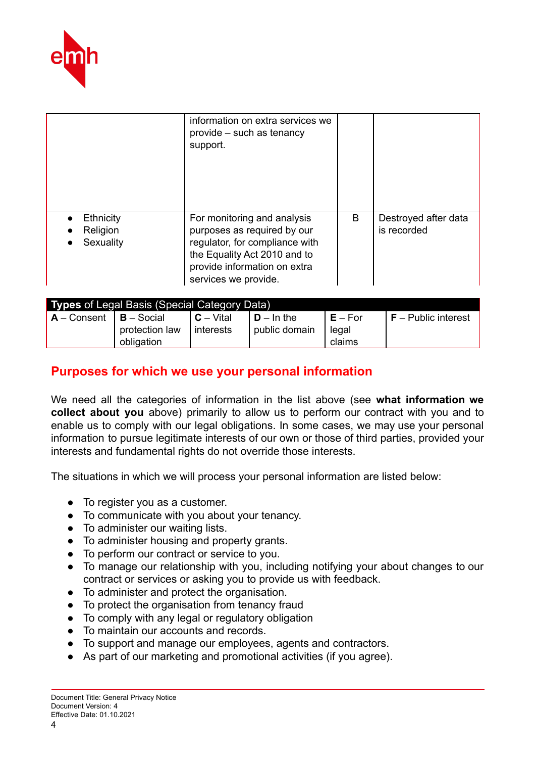

|                                    | information on extra services we<br>provide – such as tenancy<br>support.                                                                                                            |   |                                     |
|------------------------------------|--------------------------------------------------------------------------------------------------------------------------------------------------------------------------------------|---|-------------------------------------|
| Ethnicity<br>Religion<br>Sexuality | For monitoring and analysis<br>purposes as required by our<br>regulator, for compliance with<br>the Equality Act 2010 and to<br>provide information on extra<br>services we provide. | B | Destroyed after data<br>is recorded |

| <b>Types of Legal Basis (Special Category Data)</b> |                              |                                 |                                        |                              |                       |  |  |
|-----------------------------------------------------|------------------------------|---------------------------------|----------------------------------------|------------------------------|-----------------------|--|--|
| $A -$ Consent   $B -$ Social                        | protection law<br>obligation | <b>I C</b> – Vital<br>interests | $I$ <b>D</b> – In the<br>public domain | $E - For$<br>legal<br>claims | $F -$ Public interest |  |  |

# **Purposes for which we use your personal information**

We need all the categories of information in the list above (see **what information we collect about you** above) primarily to allow us to perform our contract with you and to enable us to comply with our legal obligations. In some cases, we may use your personal information to pursue legitimate interests of our own or those of third parties, provided your interests and fundamental rights do not override those interests.

The situations in which we will process your personal information are listed below:

- To register you as a customer.
- To communicate with you about your tenancy.
- To administer our waiting lists.
- To administer housing and property grants.
- To perform our contract or service to you.
- To manage our relationship with you, including notifying your about changes to our contract or services or asking you to provide us with feedback.
- To administer and protect the organisation.
- To protect the organisation from tenancy fraud
- To comply with any legal or regulatory obligation
- To maintain our accounts and records.
- To support and manage our employees, agents and contractors.
- As part of our marketing and promotional activities (if you agree).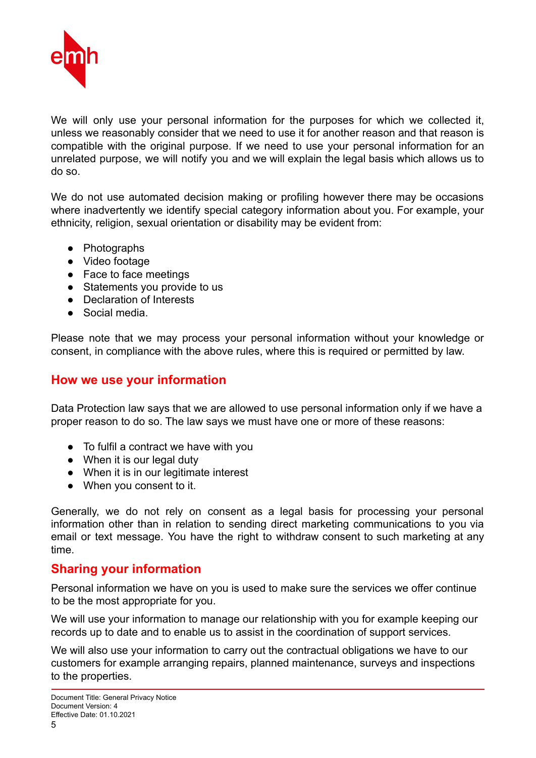

We will only use your personal information for the purposes for which we collected it, unless we reasonably consider that we need to use it for another reason and that reason is compatible with the original purpose. If we need to use your personal information for an unrelated purpose, we will notify you and we will explain the legal basis which allows us to do so.

We do not use automated decision making or profiling however there may be occasions where inadvertently we identify special category information about you. For example, your ethnicity, religion, sexual orientation or disability may be evident from:

- Photographs
- Video footage
- Face to face meetings
- Statements you provide to us
- Declaration of Interests
- Social media

Please note that we may process your personal information without your knowledge or consent, in compliance with the above rules, where this is required or permitted by law.

#### **How we use your information**

Data Protection law says that we are allowed to use personal information only if we have a proper reason to do so. The law says we must have one or more of these reasons:

- To fulfil a contract we have with you
- When it is our legal duty
- When it is in our legitimate interest
- When you consent to it.

Generally, we do not rely on consent as a legal basis for processing your personal information other than in relation to sending direct marketing communications to you via email or text message. You have the right to withdraw consent to such marketing at any time.

#### **Sharing your information**

Personal information we have on you is used to make sure the services we offer continue to be the most appropriate for you.

We will use your information to manage our relationship with you for example keeping our records up to date and to enable us to assist in the coordination of support services.

We will also use your information to carry out the contractual obligations we have to our customers for example arranging repairs, planned maintenance, surveys and inspections to the properties.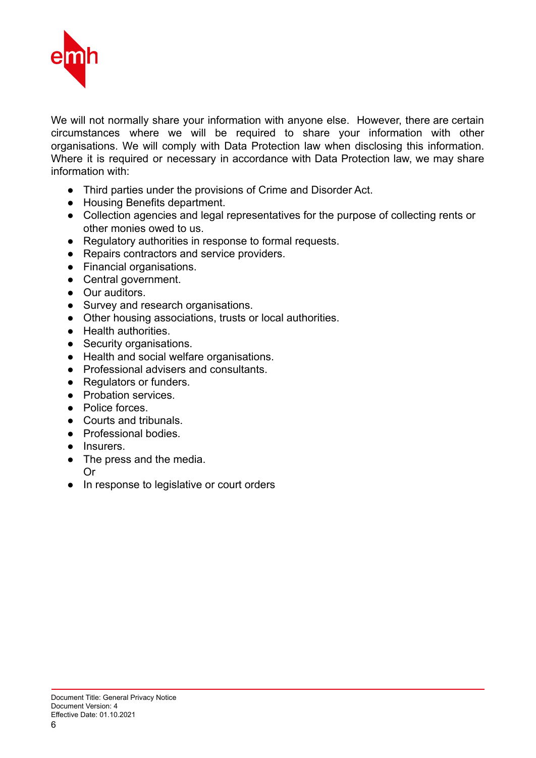

We will not normally share your information with anyone else. However, there are certain circumstances where we will be required to share your information with other organisations. We will comply with Data Protection law when disclosing this information. Where it is required or necessary in accordance with Data Protection law, we may share information with:

- Third parties under the provisions of Crime and Disorder Act.
- Housing Benefits department.
- Collection agencies and legal representatives for the purpose of collecting rents or other monies owed to us.
- Regulatory authorities in response to formal requests.
- Repairs contractors and service providers.
- Financial organisations.
- Central government.
- Our auditors.
- Survey and research organisations.
- Other housing associations, trusts or local authorities.
- Health authorities.
- Security organisations.
- Health and social welfare organisations.
- Professional advisers and consultants.
- Regulators or funders.
- Probation services.
- Police forces
- Courts and tribunals.
- Professional bodies.
- Insurers.
- The press and the media.
- Or
- In response to legislative or court orders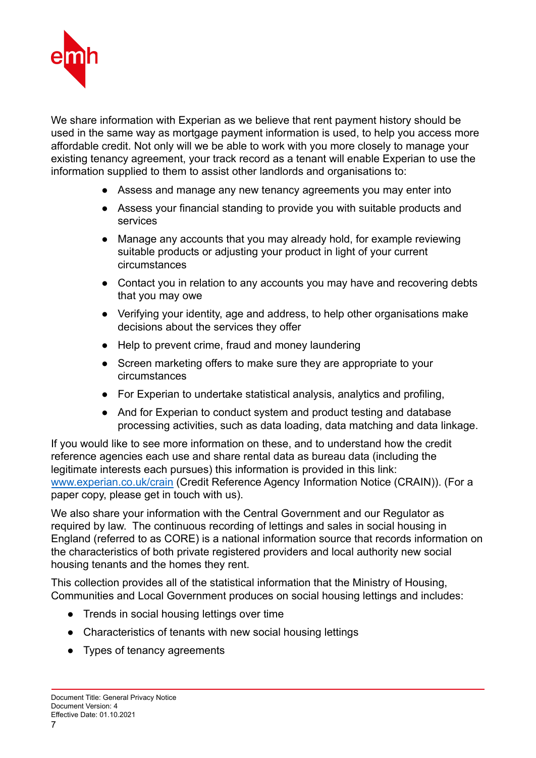

We share information with Experian as we believe that rent payment history should be used in the same way as mortgage payment information is used, to help you access more affordable credit. Not only will we be able to work with you more closely to manage your existing tenancy agreement, your track record as a tenant will enable Experian to use the information supplied to them to assist other landlords and organisations to:

- Assess and manage any new tenancy agreements you may enter into
- Assess your financial standing to provide you with suitable products and services
- Manage any accounts that you may already hold, for example reviewing suitable products or adjusting your product in light of your current circumstances
- Contact you in relation to any accounts you may have and recovering debts that you may owe
- Verifying your identity, age and address, to help other organisations make decisions about the services they offer
- Help to prevent crime, fraud and money laundering
- Screen marketing offers to make sure they are appropriate to your circumstances
- For Experian to undertake statistical analysis, analytics and profiling,
- And for Experian to conduct system and product testing and database processing activities, such as data loading, data matching and data linkage.

If you would like to see more information on these, and to understand how the credit reference agencies each use and share rental data as bureau data (including the legitimate interests each pursues) this information is provided in this link: www.experian.co.uk/crain (Credit Reference Agency Information Notice (CRAIN)). (For a paper copy, please get in touch with us).

We also share your information with the Central Government and our Regulator as required by law. The continuous recording of lettings and sales in social housing in England (referred to as CORE) is a national information source that records information on the characteristics of both private registered providers and local authority new social housing tenants and the homes they rent.

This collection provides all of the statistical information that the Ministry of Housing, Communities and Local Government produces on social housing lettings and includes:

- Trends in social housing lettings over time
- Characteristics of tenants with new social housing lettings
- Types of tenancy agreements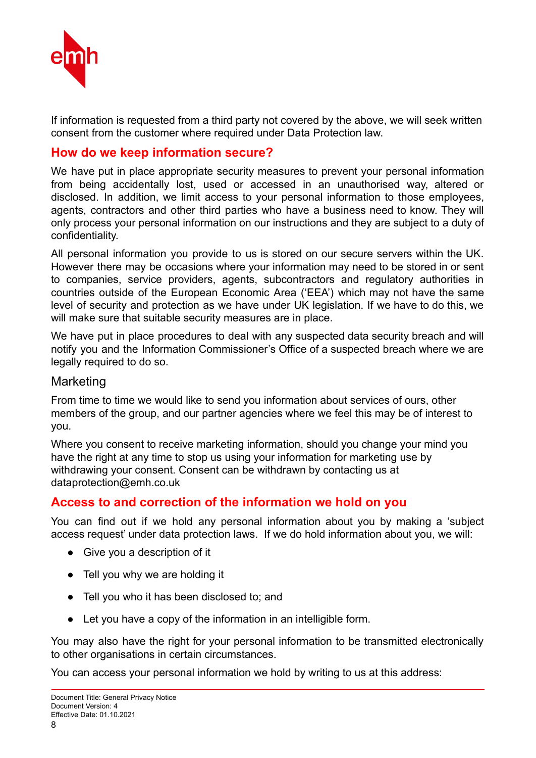

If information is requested from a third party not covered by the above, we will seek written consent from the customer where required under Data Protection law.

#### **How do we keep information secure?**

We have put in place appropriate security measures to prevent your personal information from being accidentally lost, used or accessed in an unauthorised way, altered or disclosed. In addition, we limit access to your personal information to those employees, agents, contractors and other third parties who have a business need to know. They will only process your personal information on our instructions and they are subject to a duty of confidentiality.

All personal information you provide to us is stored on our secure servers within the UK. However there may be occasions where your information may need to be stored in or sent to companies, service providers, agents, subcontractors and regulatory authorities in countries outside of the European Economic Area ('EEA') which may not have the same level of security and protection as we have under UK legislation. If we have to do this, we will make sure that suitable security measures are in place.

We have put in place procedures to deal with any suspected data security breach and will notify you and the Information Commissioner's Office of a suspected breach where we are legally required to do so.

#### **Marketing**

From time to time we would like to send you information about services of ours, other members of the group, and our partner agencies where we feel this may be of interest to you.

Where you consent to receive marketing information, should you change your mind you have the right at any time to stop us using your information for marketing use by withdrawing your consent. Consent can be withdrawn by contacting us at dataprotection@emh.co.uk

#### **Access to and correction of the information we hold on you**

You can find out if we hold any personal information about you by making a 'subject access request' under data protection laws. If we do hold information about you, we will:

- Give you a description of it
- Tell you why we are holding it
- Tell you who it has been disclosed to; and
- Let you have a copy of the information in an intelligible form.

You may also have the right for your personal information to be transmitted electronically to other organisations in certain circumstances.

You can access your personal information we hold by writing to us at this address: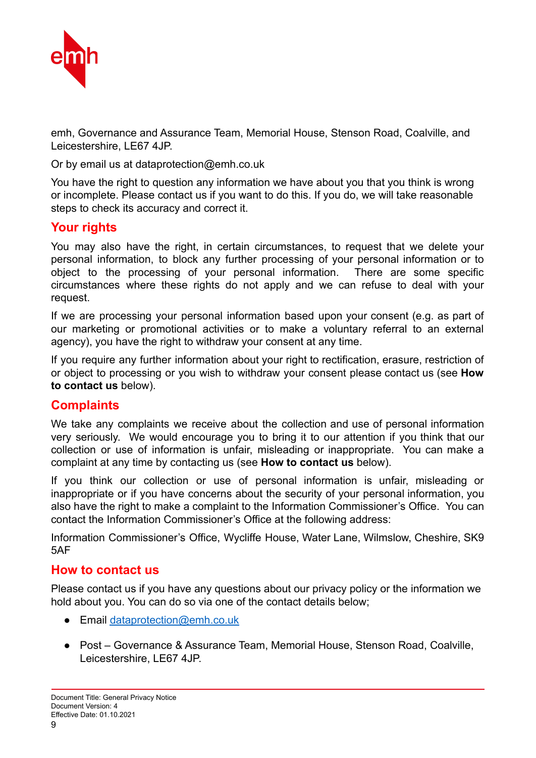

emh, Governance and Assurance Team, Memorial House, Stenson Road, Coalville, and Leicestershire, LE67 4JP.

Or by email us at dataprotection@emh.co.uk

You have the right to question any information we have about you that you think is wrong or incomplete. Please contact us if you want to do this. If you do, we will take reasonable steps to check its accuracy and correct it.

#### **Your rights**

You may also have the right, in certain circumstances, to request that we delete your personal information, to block any further processing of your personal information or to object to the processing of your personal information. There are some specific circumstances where these rights do not apply and we can refuse to deal with your request.

If we are processing your personal information based upon your consent (e.g. as part of our marketing or promotional activities or to make a voluntary referral to an external agency), you have the right to withdraw your consent at any time.

If you require any further information about your right to rectification, erasure, restriction of or object to processing or you wish to withdraw your consent please contact us (see **How to contact us** below).

#### **Complaints**

We take any complaints we receive about the collection and use of personal information very seriously. We would encourage you to bring it to our attention if you think that our collection or use of information is unfair, misleading or inappropriate. You can make a complaint at any time by contacting us (see **How to contact us** below).

If you think our collection or use of personal information is unfair, misleading or inappropriate or if you have concerns about the security of your personal information, you also have the right to make a complaint to the Information Commissioner's Office. You can contact the Information Commissioner's Office at the following address:

Information Commissioner's Office, Wycliffe House, Water Lane, Wilmslow, Cheshire, SK9 5AF

#### **How to contact us**

Please contact us if you have any questions about our privacy policy or the information we hold about you. You can do so via one of the contact details below;

- Email dataprotection@emh.co.uk
- Post Governance & Assurance Team, Memorial House, Stenson Road, Coalville, Leicestershire, LE67 4JP.